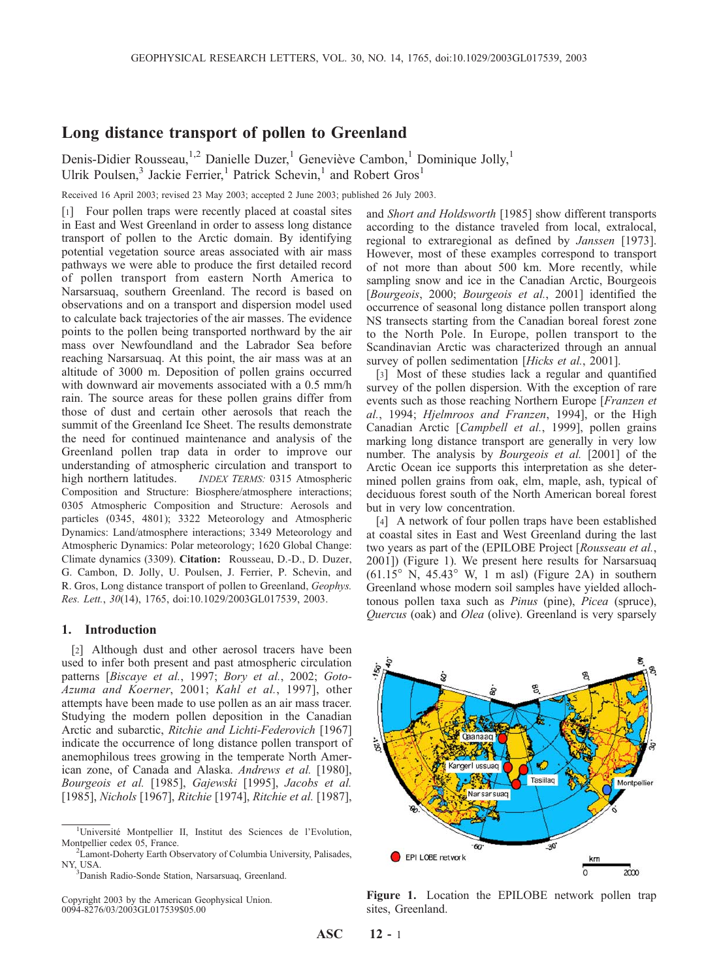# Long distance transport of pollen to Greenland

Denis-Didier Rousseau,<sup>1,2</sup> Danielle Duzer,<sup>1</sup> Geneviève Cambon,<sup>1</sup> Dominique Jolly,<sup>1</sup> Ulrik Poulsen,<sup>3</sup> Jackie Ferrier,<sup>1</sup> Patrick Schevin,<sup>1</sup> and Robert Gros<sup>1</sup>

Received 16 April 2003; revised 23 May 2003; accepted 2 June 2003; published 26 July 2003.

[1] Four pollen traps were recently placed at coastal sites in East and West Greenland in order to assess long distance transport of pollen to the Arctic domain. By identifying potential vegetation source areas associated with air mass pathways we were able to produce the first detailed record of pollen transport from eastern North America to Narsarsuaq, southern Greenland. The record is based on observations and on a transport and dispersion model used to calculate back trajectories of the air masses. The evidence points to the pollen being transported northward by the air mass over Newfoundland and the Labrador Sea before reaching Narsarsuaq. At this point, the air mass was at an altitude of 3000 m. Deposition of pollen grains occurred with downward air movements associated with a 0.5 mm/h rain. The source areas for these pollen grains differ from those of dust and certain other aerosols that reach the summit of the Greenland Ice Sheet. The results demonstrate the need for continued maintenance and analysis of the Greenland pollen trap data in order to improve our understanding of atmospheric circulation and transport to high northern latitudes. **INDEX TERMS: 0315 Atmospheric** Composition and Structure: Biosphere/atmosphere interactions; 0305 Atmospheric Composition and Structure: Aerosols and particles (0345, 4801); 3322 Meteorology and Atmospheric Dynamics: Land/atmosphere interactions; 3349 Meteorology and Atmospheric Dynamics: Polar meteorology; 1620 Global Change: Climate dynamics (3309). Citation: Rousseau, D.-D., D. Duzer, G. Cambon, D. Jolly, U. Poulsen, J. Ferrier, P. Schevin, and R. Gros, Long distance transport of pollen to Greenland, Geophys. Res. Lett., 30(14), 1765, doi:10.1029/2003GL017539, 2003.

## 1. Introduction

[2] Although dust and other aerosol tracers have been used to infer both present and past atmospheric circulation patterns [Biscaye et al., 1997; Bory et al., 2002; Goto-Azuma and Koerner, 2001; Kahl et al., 1997], other attempts have been made to use pollen as an air mass tracer. Studying the modern pollen deposition in the Canadian Arctic and subarctic, Ritchie and Lichti-Federovich [1967] indicate the occurrence of long distance pollen transport of anemophilous trees growing in the temperate North American zone, of Canada and Alaska. Andrews et al. [1980], Bourgeois et al. [1985], Gajewski [1995], Jacobs et al. [1985], Nichols [1967], Ritchie [1974], Ritchie et al. [1987],

and Short and Holdsworth [1985] show different transports according to the distance traveled from local, extralocal, regional to extraregional as defined by Janssen [1973]. However, most of these examples correspond to transport of not more than about 500 km. More recently, while sampling snow and ice in the Canadian Arctic, Bourgeois [Bourgeois, 2000; Bourgeois et al., 2001] identified the occurrence of seasonal long distance pollen transport along NS transects starting from the Canadian boreal forest zone to the North Pole. In Europe, pollen transport to the Scandinavian Arctic was characterized through an annual survey of pollen sedimentation [Hicks et al., 2001].

[3] Most of these studies lack a regular and quantified survey of the pollen dispersion. With the exception of rare events such as those reaching Northern Europe [Franzen et al., 1994; Hjelmroos and Franzen, 1994], or the High Canadian Arctic [Campbell et al., 1999], pollen grains marking long distance transport are generally in very low number. The analysis by *Bourgeois et al.* [2001] of the Arctic Ocean ice supports this interpretation as she determined pollen grains from oak, elm, maple, ash, typical of deciduous forest south of the North American boreal forest but in very low concentration.

[4] A network of four pollen traps have been established at coastal sites in East and West Greenland during the last two years as part of the (EPILOBE Project [Rousseau et al., 2001]) (Figure 1). We present here results for Narsarsuaq  $(61.15^\circ)$  N, 45.43° W, 1 m asl) (Figure 2A) in southern Greenland whose modern soil samples have yielded allochtonous pollen taxa such as Pinus (pine), Picea (spruce), Quercus (oak) and Olea (olive). Greenland is very sparsely



Figure 1. Location the EPILOBE network pollen trap sites, Greenland.

<sup>&</sup>lt;sup>1</sup>Université Montpellier II, Institut des Sciences de l'Evolution, Montpellier cedex 05, France.

<sup>&</sup>lt;sup>2</sup>Lamont-Doherty Earth Observatory of Columbia University, Palisades, NY, USA.

<sup>&</sup>lt;sup>3</sup>Danish Radio-Sonde Station, Narsarsuaq, Greenland.

Copyright 2003 by the American Geophysical Union. 0094-8276/03/2003GL017539\$05.00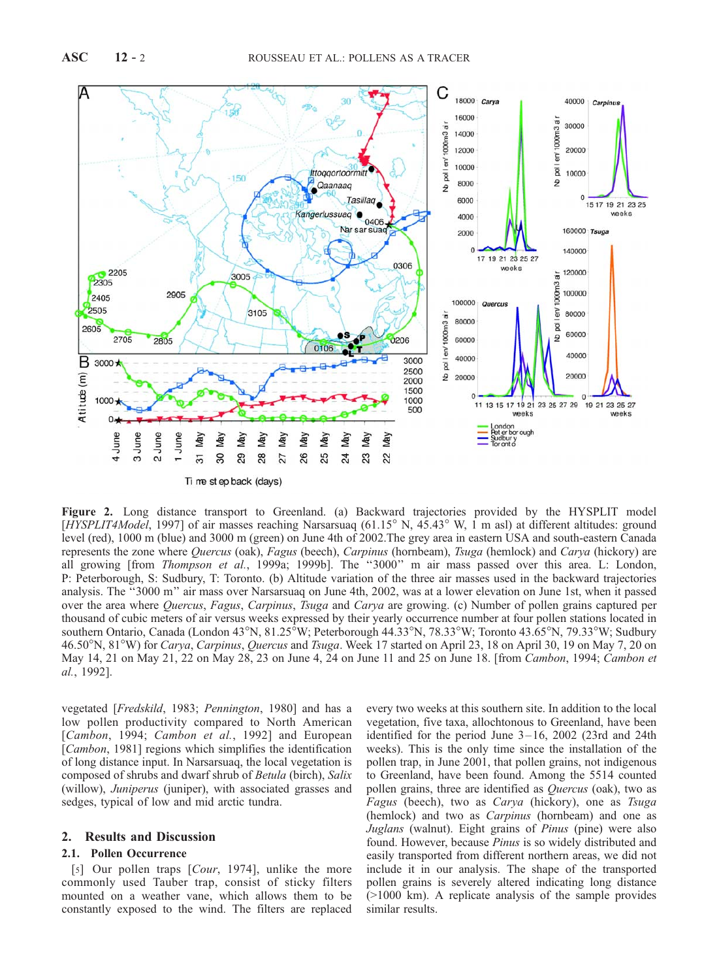

Figure 2. Long distance transport to Greenland. (a) Backward trajectories provided by the HYSPLIT model [HYSPLIT4Model, 1997] of air masses reaching Narsarsuaq (61.15 $\degree$  N, 45.43 $\degree$  W, 1 m asl) at different altitudes: ground level (red), 1000 m (blue) and 3000 m (green) on June 4th of 2002.The grey area in eastern USA and south-eastern Canada represents the zone where Quercus (oak), Fagus (beech), Carpinus (hornbeam), Tsuga (hemlock) and Carya (hickory) are all growing [from *Thompson et al.*, 1999a; 1999b]. The "3000" m air mass passed over this area. L: London, P: Peterborough, S: Sudbury, T: Toronto. (b) Altitude variation of the three air masses used in the backward trajectories analysis. The ''3000 m'' air mass over Narsarsuaq on June 4th, 2002, was at a lower elevation on June 1st, when it passed over the area where Quercus, Fagus, Carpinus, Tsuga and Carya are growing. (c) Number of pollen grains captured per thousand of cubic meters of air versus weeks expressed by their yearly occurrence number at four pollen stations located in southern Ontario, Canada (London 43°N, 81.25°W; Peterborough 44.33°N, 78.33°W; Toronto 43.65°N, 79.33°W; Sudbury 46.50°N, 81°W) for Carya, Carpinus, Quercus and Tsuga. Week 17 started on April 23, 18 on April 30, 19 on May 7, 20 on May 14, 21 on May 21, 22 on May 28, 23 on June 4, 24 on June 11 and 25 on June 18. [from Cambon, 1994; Cambon et al., 1992].

vegetated [Fredskild, 1983; Pennington, 1980] and has a low pollen productivity compared to North American [Cambon, 1994; Cambon et al., 1992] and European [*Cambon*, 1981] regions which simplifies the identification of long distance input. In Narsarsuaq, the local vegetation is composed of shrubs and dwarf shrub of Betula (birch), Salix (willow), Juniperus (juniper), with associated grasses and sedges, typical of low and mid arctic tundra.

# 2. Results and Discussion

### 2.1. Pollen Occurrence

[5] Our pollen traps [Cour, 1974], unlike the more commonly used Tauber trap, consist of sticky filters mounted on a weather vane, which allows them to be constantly exposed to the wind. The filters are replaced

every two weeks at this southern site. In addition to the local vegetation, five taxa, allochtonous to Greenland, have been identified for the period June  $3-16$ , 2002 (23rd and 24th weeks). This is the only time since the installation of the pollen trap, in June 2001, that pollen grains, not indigenous to Greenland, have been found. Among the 5514 counted pollen grains, three are identified as Quercus (oak), two as Fagus (beech), two as *Carya* (hickory), one as *Tsuga* (hemlock) and two as *Carpinus* (hornbeam) and one as Juglans (walnut). Eight grains of Pinus (pine) were also found. However, because Pinus is so widely distributed and easily transported from different northern areas, we did not include it in our analysis. The shape of the transported pollen grains is severely altered indicating long distance (>1000 km). A replicate analysis of the sample provides similar results.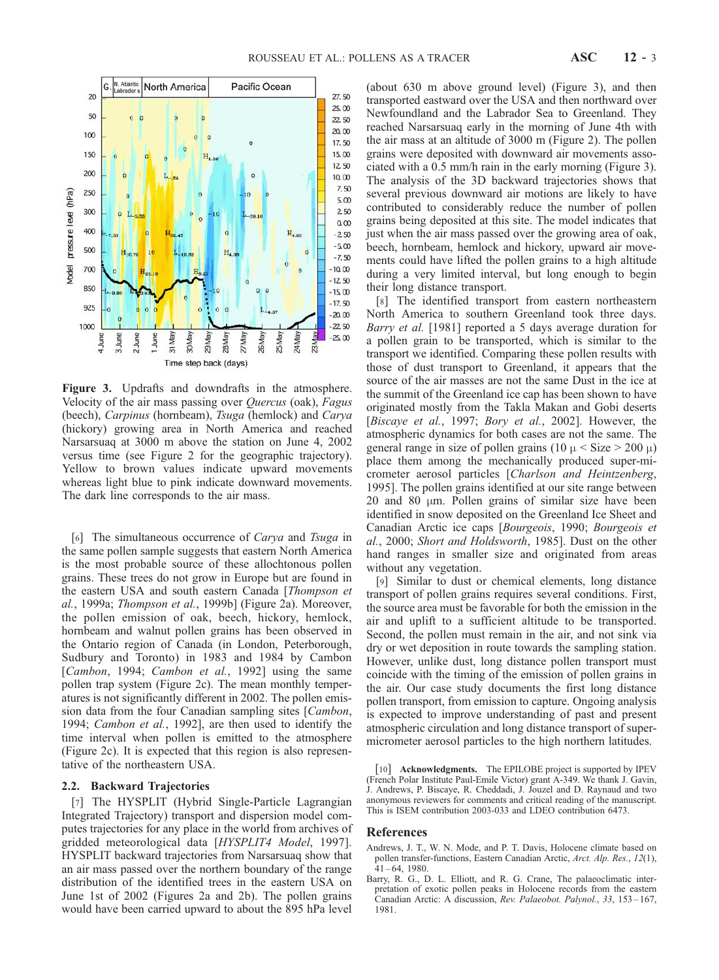

Figure 3. Updrafts and downdrafts in the atmosphere. Velocity of the air mass passing over Quercus (oak), Fagus (beech), *Carpinus* (hornbeam), *Tsuga* (hemlock) and *Carva* (hickory) growing area in North America and reached Narsarsuaq at 3000 m above the station on June 4, 2002 versus time (see Figure 2 for the geographic trajectory). Yellow to brown values indicate upward movements whereas light blue to pink indicate downward movements. The dark line corresponds to the air mass.

[6] The simultaneous occurrence of *Carya* and *Tsuga* in the same pollen sample suggests that eastern North America is the most probable source of these allochtonous pollen grains. These trees do not grow in Europe but are found in the eastern USA and south eastern Canada [Thompson et al., 1999a; Thompson et al., 1999b] (Figure 2a). Moreover, the pollen emission of oak, beech, hickory, hemlock, hornbeam and walnut pollen grains has been observed in the Ontario region of Canada (in London, Peterborough, Sudbury and Toronto) in 1983 and 1984 by Cambon [Cambon, 1994; Cambon et al., 1992] using the same pollen trap system (Figure 2c). The mean monthly temperatures is not significantly different in 2002. The pollen emission data from the four Canadian sampling sites [*Cambon*, 1994; Cambon et al., 1992], are then used to identify the time interval when pollen is emitted to the atmosphere (Figure 2c). It is expected that this region is also representative of the northeastern USA.

#### 2.2. Backward Trajectories

[7] The HYSPLIT (Hybrid Single-Particle Lagrangian Integrated Trajectory) transport and dispersion model computes trajectories for any place in the world from archives of gridded meteorological data [HYSPLIT4 Model, 1997]. HYSPLIT backward trajectories from Narsarsuaq show that an air mass passed over the northern boundary of the range distribution of the identified trees in the eastern USA on June 1st of 2002 (Figures 2a and 2b). The pollen grains would have been carried upward to about the 895 hPa level

(about 630 m above ground level) (Figure 3), and then transported eastward over the USA and then northward over Newfoundland and the Labrador Sea to Greenland. They reached Narsarsuaq early in the morning of June 4th with the air mass at an altitude of 3000 m (Figure 2). The pollen grains were deposited with downward air movements associated with a 0.5 mm/h rain in the early morning (Figure 3). The analysis of the 3D backward trajectories shows that several previous downward air motions are likely to have contributed to considerably reduce the number of pollen grains being deposited at this site. The model indicates that just when the air mass passed over the growing area of oak, beech, hornbeam, hemlock and hickory, upward air movements could have lifted the pollen grains to a high altitude during a very limited interval, but long enough to begin their long distance transport.

[8] The identified transport from eastern northeastern North America to southern Greenland took three days. Barry et al. [1981] reported a 5 days average duration for a pollen grain to be transported, which is similar to the transport we identified. Comparing these pollen results with those of dust transport to Greenland, it appears that the source of the air masses are not the same Dust in the ice at the summit of the Greenland ice cap has been shown to have originated mostly from the Takla Makan and Gobi deserts [Biscaye et al., 1997; Bory et al., 2002]. However, the atmospheric dynamics for both cases are not the same. The general range in size of pollen grains (10  $\mu$  < Size > 200  $\mu$ ) place them among the mechanically produced super-micrometer aerosol particles [Charlson and Heintzenberg, 1995]. The pollen grains identified at our site range between 20 and 80  $\mu$ m. Pollen grains of similar size have been identified in snow deposited on the Greenland Ice Sheet and Canadian Arctic ice caps [Bourgeois, 1990; Bourgeois et al., 2000; Short and Holdsworth, 1985]. Dust on the other hand ranges in smaller size and originated from areas without any vegetation.

[9] Similar to dust or chemical elements, long distance transport of pollen grains requires several conditions. First, the source area must be favorable for both the emission in the air and uplift to a sufficient altitude to be transported. Second, the pollen must remain in the air, and not sink via dry or wet deposition in route towards the sampling station. However, unlike dust, long distance pollen transport must coincide with the timing of the emission of pollen grains in the air. Our case study documents the first long distance pollen transport, from emission to capture. Ongoing analysis is expected to improve understanding of past and present atmospheric circulation and long distance transport of supermicrometer aerosol particles to the high northern latitudes.

[10] Acknowledgments. The EPILOBE project is supported by IPEV (French Polar Institute Paul-Emile Victor) grant A-349. We thank J. Gavin, J. Andrews, P. Biscaye, R. Cheddadi, J. Jouzel and D. Raynaud and two anonymous reviewers for comments and critical reading of the manuscript. This is ISEM contribution 2003-033 and LDEO contribution 6473.

#### References

- Andrews, J. T., W. N. Mode, and P. T. Davis, Holocene climate based on pollen transfer-functions, Eastern Canadian Arctic, Arct. Alp. Res., 12(1),  $41 - 64$ , 1980.
- Barry, R. G., D. L. Elliott, and R. G. Crane, The palaeoclimatic interpretation of exotic pollen peaks in Holocene records from the eastern Canadian Arctic: A discussion, Rev. Palaeobot. Palynol., 33, 153-167, 1981.